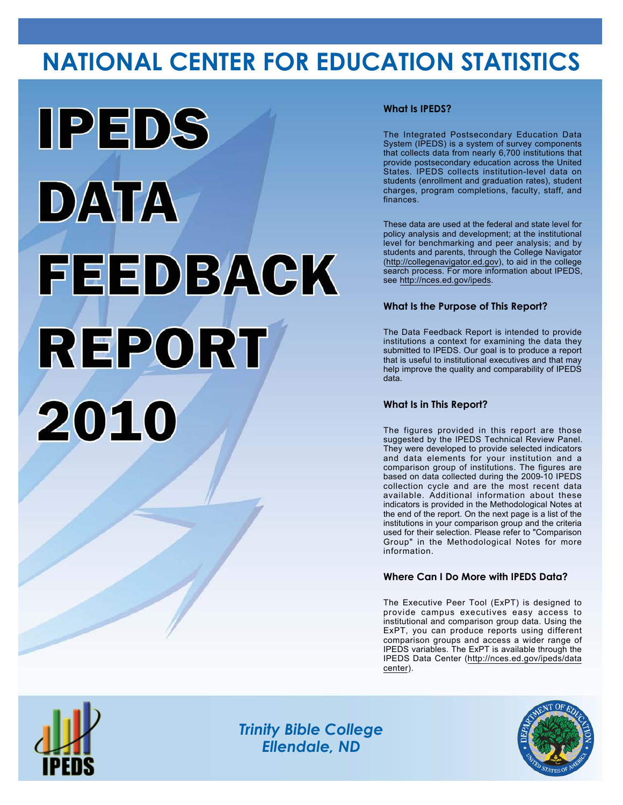# **NATIONAL CENTER FOR EDUCATION STATISTICS**



# **What Is IPEDS?**

The Integrated Postsecondary Education Data System (IPEDS) is a system of survey components that collects data from nearly 6,700 institutions that provide postsecondary education across the United States. IPEDS collects institution-level data on students (enrollment and graduation rates), student charges, program completions, faculty, staff, and finances.

These data are used at the federal and state level for policy analysis and development; at the institutional level for benchmarking and peer analysis; and by students and parents, through the College Navigator (<http://collegenavigator.ed.gov>), to aid in the college search process. For more information about IPEDS, see [http://nces.ed.gov/ipeds.](http://nces.ed.gov/ipeds)

# **What Is the Purpose of This Report?**

The Data Feedback Report is intended to provide institutions a context for examining the data they submitted to IPEDS. Our goal is to produce a report that is useful to institutional executives and that may help improve the quality and comparability of IPEDS data.

### **What Is in This Report?**

The figures provided in this report are those suggested by the IPEDS Technical Review Panel. They were developed to provide selected indicators and data elements for your institution and a comparison group of institutions. The figures are based on data collected during the 2009-10 IPEDS collection cycle and are the most recent data available. Additional information about these indicators is provided in the Methodological Notes at the end of the report. On the next page is a list of the institutions in your comparison group and the criteria used for their selection. Please refer to "Comparison Group" in the Methodological Notes for more information.

## **Where Can I Do More with IPEDS Data?**

The Executive Peer Tool (ExPT) is designed to provide campus executives easy access to institutional and comparison group data. Using the ExPT, you can produce reports using different comparison groups and access a wider range of IPEDS variables. The ExPT is available through the IPEDS Data Center ([http://nces.ed.gov/ipeds/data](http://nces.ed.gov/ipeds/datacenter) [center](http://nces.ed.gov/ipeds/datacenter)).



Image description. Cover Image End of image description.

*Trinity Bible College Ellendale, ND*

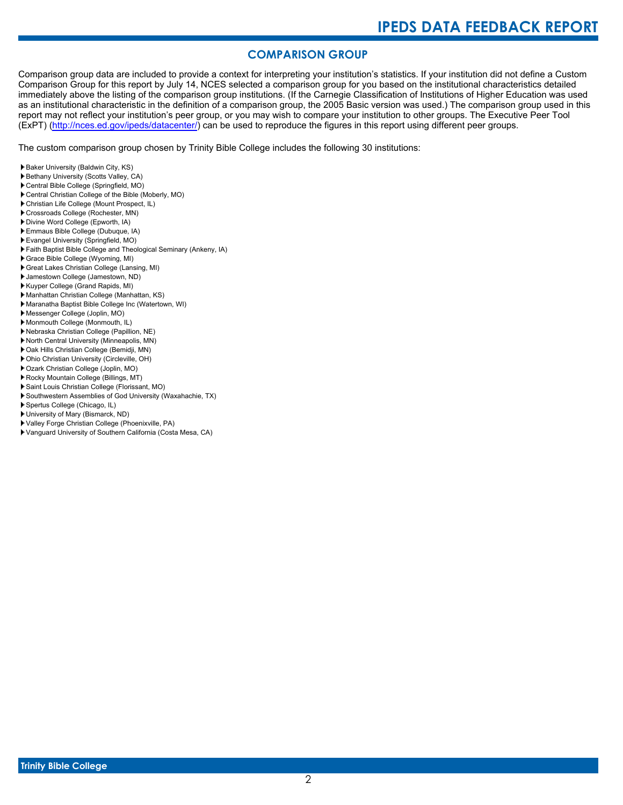# **COMPARISON GROUP**

Comparison group data are included to provide a context for interpreting your institution's statistics. If your institution did not define a Custom Comparison Group for this report by July 14, NCES selected a comparison group for you based on the institutional characteristics detailed immediately above the listing of the comparison group institutions. (If the Carnegie Classification of Institutions of Higher Education was used as an institutional characteristic in the definition of a comparison group, the 2005 Basic version was used.) The comparison group used in this report may not reflect your institution's peer group, or you may wish to compare your institution to other groups. The Executive Peer Tool (ExPT) [\(http://nces.ed.gov/ipeds/datacenter/\)](http://nces.ed.gov/ipeds/datacenter/) can be used to reproduce the figures in this report using different peer groups.

The custom comparison group chosen by Trinity Bible College includes the following 30 institutions:

- Baker University (Baldwin City, KS)
- Bethany University (Scotts Valley, CA)
- Central Bible College (Springfield, MO)
- Central Christian College of the Bible (Moberly, MO)
- Christian Life College (Mount Prospect, IL)
- Crossroads College (Rochester, MN)
- Divine Word College (Epworth, IA)
- Emmaus Bible College (Dubuque, IA)
- Evangel University (Springfield, MO)
- Faith Baptist Bible College and Theological Seminary (Ankeny, IA)
- Grace Bible College (Wyoming, MI)
- Great Lakes Christian College (Lansing, MI)
- Jamestown College (Jamestown, ND)
- Kuyper College (Grand Rapids, MI)
- Manhattan Christian College (Manhattan, KS)
- Maranatha Baptist Bible College Inc (Watertown, WI)
- Messenger College (Joplin, MO)
- Monmouth College (Monmouth, IL)
- Nebraska Christian College (Papillion, NE)
- North Central University (Minneapolis, MN)
- Oak Hills Christian College (Bemidji, MN)
- Ohio Christian University (Circleville, OH)
- Ozark Christian College (Joplin, MO)
- Rocky Mountain College (Billings, MT)
- Saint Louis Christian College (Florissant, MO)
- Southwestern Assemblies of God University (Waxahachie, TX)
- Spertus College (Chicago, IL)
- University of Mary (Bismarck, ND)
- Valley Forge Christian College (Phoenixville, PA)
- Vanguard University of Southern California (Costa Mesa, CA)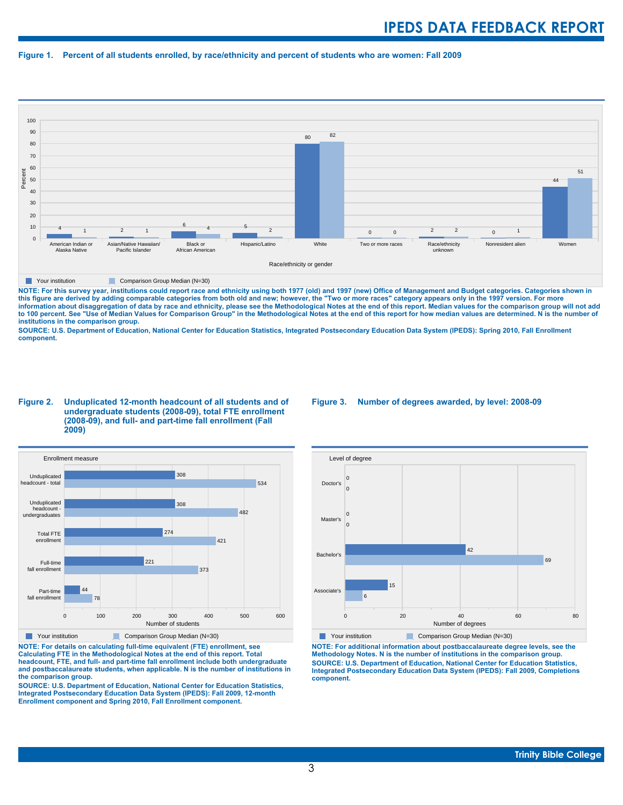#### **Figure 1. Percent of all students enrolled, by race/ethnicity and percent of students who are women: Fall 2009**



**The Comparison Group Median (N=30)** Comparison Group Median (N=30)

NOTE: For this survey year, institutions could report race and ethnicity using both 1977 (old) and 1997 (new) Office of Management and Budget categories. Categories shown in<br>this figure are derived by adding comparable cat **information about disaggregation of data by race and ethnicity, please see the Methodological Notes at the end of this report. Median values for the comparison group will not add to 100 percent. See "Use of Median Values for Comparison Group" in the Methodological Notes at the end of this report for how median values are determined. N is the number of institutions in the comparison group.**

**SOURCE: U.S. Department of Education, National Center for Education Statistics, Integrated Postsecondary Education Data System (IPEDS): Spring 2010, Fall Enrollment component.**

#### **Figure 2. Unduplicated 12-month headcount of all students and of undergraduate students (2008-09), total FTE enrollment (2008-09), and full- and part-time fall enrollment (Fall 2009)**



**The Your institution Comparison Group Median (N=30)** 

**NOTE: For details on calculating full-time equivalent (FTE) enrollment, see Calculating FTE in the Methodological Notes at the end of this report. Total headcount, FTE, and full- and part-time fall enrollment include both undergraduate and postbaccalaureate students, when applicable. N is the number of institutions in the comparison group.**

**SOURCE: U.S. Department of Education, National Center for Education Statistics, Integrated Postsecondary Education Data System (IPEDS): Fall 2009, 12-month Enrollment component and Spring 2010, Fall Enrollment component.**

#### **Figure 3. Number of degrees awarded, by level: 2008-09**



**NOTE: For additional information about postbaccalaureate degree levels, see the Methodology Notes. N is the number of institutions in the comparison group. SOURCE: U.S. Department of Education, National Center for Education Statistics, Integrated Postsecondary Education Data System (IPEDS): Fall 2009, Completions component.**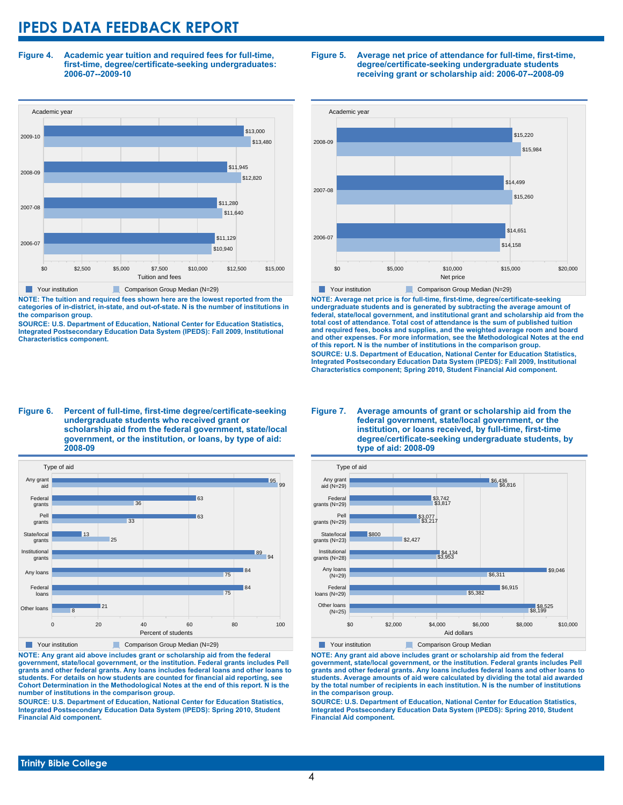**Figure 4. Academic year tuition and required fees for full-time, first-time, degree/certificate-seeking undergraduates: 2006-07--2009-10**



**NOTE: The tuition and required fees shown here are the lowest reported from the categories of in-district, in-state, and out-of-state. N is the number of institutions in the comparison group.**

**SOURCE: U.S. Department of Education, National Center for Education Statistics, Integrated Postsecondary Education Data System (IPEDS): Fall 2009, Institutional Characteristics component.**

#### **Figure 5. Average net price of attendance for full-time, first-time, degree/certificate-seeking undergraduate students receiving grant or scholarship aid: 2006-07--2008-09**



**NOTE: Average net price is for full-time, first-time, degree/certificate-seeking undergraduate students and is generated by subtracting the average amount of federal, state/local government, and institutional grant and scholarship aid from the total cost of attendance. Total cost of attendance is the sum of published tuition and required fees, books and supplies, and the weighted average room and board and other expenses. For more information, see the Methodological Notes at the end of this report. N is the number of institutions in the comparison group. SOURCE: U.S. Department of Education, National Center for Education Statistics, Integrated Postsecondary Education Data System (IPEDS): Fall 2009, Institutional Characteristics component; Spring 2010, Student Financial Aid component.**

#### **Figure 6. Percent of full-time, first-time degree/certificate-seeking undergraduate students who received grant or scholarship aid from the federal government, state/local government, or the institution, or loans, by type of aid: 2008-09**



**NOTE: Any grant aid above includes grant or scholarship aid from the federal government, state/local government, or the institution. Federal grants includes Pell grants and other federal grants. Any loans includes federal loans and other loans to students. For details on how students are counted for financial aid reporting, see Cohort Determination in the Methodological Notes at the end of this report. N is the number of institutions in the comparison group.**

**SOURCE: U.S. Department of Education, National Center for Education Statistics, Integrated Postsecondary Education Data System (IPEDS): Spring 2010, Student Financial Aid component.**

#### **Figure 7. Average amounts of grant or scholarship aid from the federal government, state/local government, or the institution, or loans received, by full-time, first-time degree/certificate-seeking undergraduate students, by type of aid: 2008-09**



**NOTE: Any grant aid above includes grant or scholarship aid from the federal government, state/local government, or the institution. Federal grants includes Pell grants and other federal grants. Any loans includes federal loans and other loans to students. Average amounts of aid were calculated by dividing the total aid awarded by the total number of recipients in each institution. N is the number of institutions in the comparison group.**

**SOURCE: U.S. Department of Education, National Center for Education Statistics, Integrated Postsecondary Education Data System (IPEDS): Spring 2010, Student Financial Aid component.**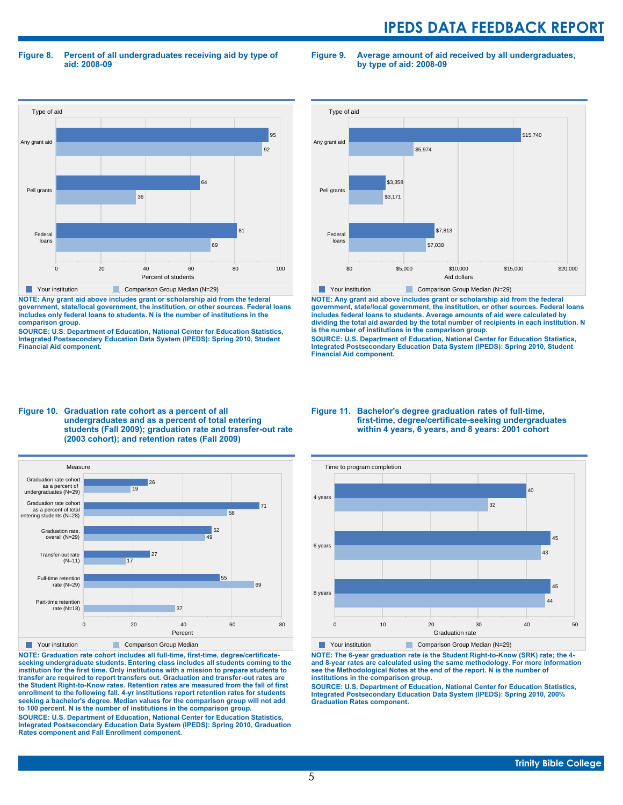**Figure 8. Percent of all undergraduates receiving aid by type of aid: 2008-09**

**Figure 9. Average amount of aid received by all undergraduates, by type of aid: 2008-09**



**NOTE: Any grant aid above includes grant or scholarship aid from the federal government, state/local government, the institution, or other sources. Federal loans includes only federal loans to students. N is the number of institutions in the comparison group.**

**SOURCE: U.S. Department of Education, National Center for Education Statistics, Integrated Postsecondary Education Data System (IPEDS): Spring 2010, Student Financial Aid component.**



**NOTE: Any grant aid above includes grant or scholarship aid from the federal government, state/local government, the institution, or other sources. Federal loans includes federal loans to students. Average amounts of aid were calculated by dividing the total aid awarded by the total number of recipients in each institution. N is the number of institutions in the comparison group.**

**SOURCE: U.S. Department of Education, National Center for Education Statistics, Integrated Postsecondary Education Data System (IPEDS): Spring 2010, Student Financial Aid component.**





**NOTE: Graduation rate cohort includes all full-time, first-time, degree/certificateseeking undergraduate students. Entering class includes all students coming to the institution for the first time. Only institutions with a mission to prepare students to transfer are required to report transfers out. Graduation and transfer-out rates are the Student Right-to-Know rates. Retention rates are measured from the fall of first enrollment to the following fall. 4-yr institutions report retention rates for students seeking a bachelor's degree. Median values for the comparison group will not add to 100 percent. N is the number of institutions in the comparison group.**

**SOURCE: U.S. Department of Education, National Center for Education Statistics, Integrated Postsecondary Education Data System (IPEDS): Spring 2010, Graduation Rates component and Fall Enrollment component.**

#### **Figure 11. Bachelor's degree graduation rates of full-time, first-time, degree/certificate-seeking undergraduates within 4 years, 6 years, and 8 years: 2001 cohort**



**NOTE: The 6-year graduation rate is the Student Right-to-Know (SRK) rate; the 4 and 8-year rates are calculated using the same methodology. For more information see the Methodological Notes at the end of the report. N is the number of institutions in the comparison group.**

**SOURCE: U.S. Department of Education, National Center for Education Statistics, Integrated Postsecondary Education Data System (IPEDS): Spring 2010, 200% Graduation Rates component.**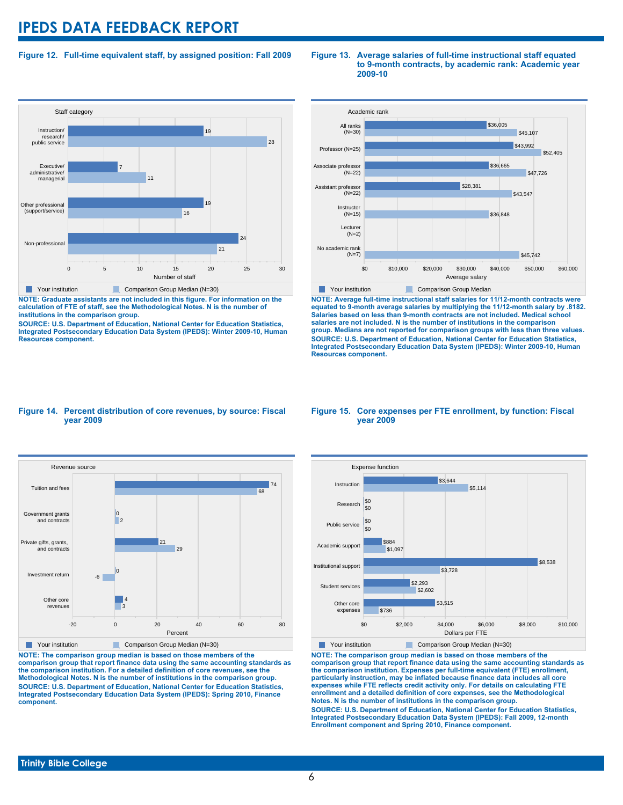### **Figure 12. Full-time equivalent staff, by assigned position: Fall 2009**



**NOTE: Graduate assistants are not included in this figure. For information on the calculation of FTE of staff, see the Methodological Notes. N is the number of institutions in the comparison group.**

**SOURCE: U.S. Department of Education, National Center for Education Statistics, Integrated Postsecondary Education Data System (IPEDS): Winter 2009-10, Human Resources component.**

#### **Figure 13. Average salaries of full-time instructional staff equated to 9-month contracts, by academic rank: Academic year 2009-10**



**NOTE: Average full-time instructional staff salaries for 11/12-month contracts were equated to 9-month average salaries by multiplying the 11/12-month salary by .8182. Salaries based on less than 9-month contracts are not included. Medical school salaries are not included. N is the number of institutions in the comparison group. Medians are not reported for comparison groups with less than three values. SOURCE: U.S. Department of Education, National Center for Education Statistics, Integrated Postsecondary Education Data System (IPEDS): Winter 2009-10, Human Resources component.**

#### **Figure 14. Percent distribution of core revenues, by source: Fiscal year 2009**



**NOTE: The comparison group median is based on those members of the comparison group that report finance data using the same accounting standards as the comparison institution. For a detailed definition of core revenues, see the Methodological Notes. N is the number of institutions in the comparison group. SOURCE: U.S. Department of Education, National Center for Education Statistics, Integrated Postsecondary Education Data System (IPEDS): Spring 2010, Finance component.**

#### **Figure 15. Core expenses per FTE enrollment, by function: Fiscal year 2009**



**NOTE: The comparison group median is based on those members of the comparison group that report finance data using the same accounting standards as the comparison institution. Expenses per full-time equivalent (FTE) enrollment, particularly instruction, may be inflated because finance data includes all core expenses while FTE reflects credit activity only. For details on calculating FTE enrollment and a detailed definition of core expenses, see the Methodological Notes. N is the number of institutions in the comparison group. SOURCE: U.S. Department of Education, National Center for Education Statistics, Integrated Postsecondary Education Data System (IPEDS): Fall 2009, 12-month Enrollment component and Spring 2010, Finance component.**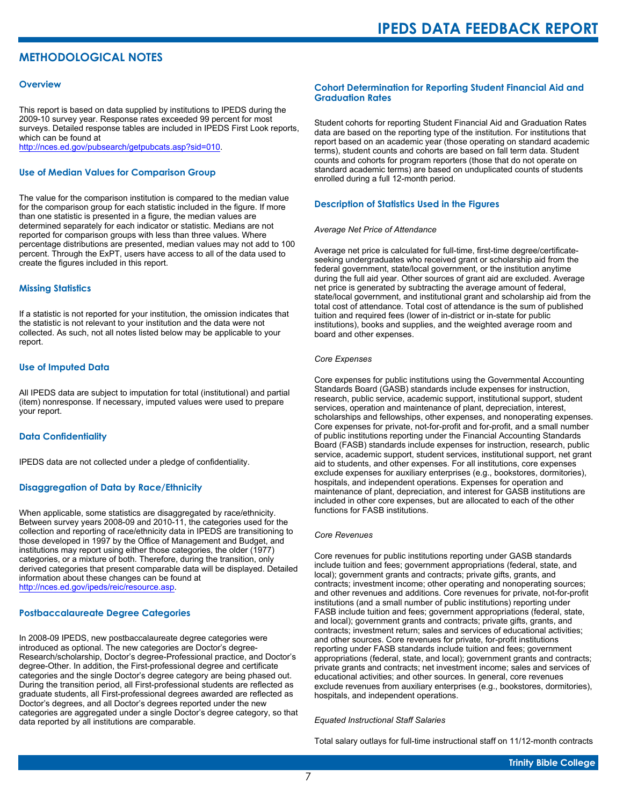# **METHODOLOGICAL NOTES**

#### **Overview**

This report is based on data supplied by institutions to IPEDS during the 2009-10 survey year. Response rates exceeded 99 percent for most surveys. Detailed response tables are included in IPEDS First Look reports, which can be found at [http://nces.ed.gov/pubsearch/getpubcats.asp?sid=010.](http://nces.ed.gov/pubsearch/getpubcats.asp?sid=010)

#### **Use of Median Values for Comparison Group**

The value for the comparison institution is compared to the median value for the comparison group for each statistic included in the figure. If more than one statistic is presented in a figure, the median values are determined separately for each indicator or statistic. Medians are not reported for comparison groups with less than three values. Where percentage distributions are presented, median values may not add to 100 percent. Through the ExPT, users have access to all of the data used to create the figures included in this report.

#### **Missing Statistics**

If a statistic is not reported for your institution, the omission indicates that the statistic is not relevant to your institution and the data were not collected. As such, not all notes listed below may be applicable to your report.

#### **Use of Imputed Data**

All IPEDS data are subject to imputation for total (institutional) and partial (item) nonresponse. If necessary, imputed values were used to prepare your report.

#### **Data Confidentiality**

IPEDS data are not collected under a pledge of confidentiality.

#### **Disaggregation of Data by Race/Ethnicity**

When applicable, some statistics are disaggregated by race/ethnicity. Between survey years 2008-09 and 2010-11, the categories used for the collection and reporting of race/ethnicity data in IPEDS are transitioning to those developed in 1997 by the Office of Management and Budget, and institutions may report using either those categories, the older (1977) categories, or a mixture of both. Therefore, during the transition, only derived categories that present comparable data will be displayed. Detailed information about these changes can be found at <http://nces.ed.gov/ipeds/reic/resource.asp>.

#### **Postbaccalaureate Degree Categories**

In 2008-09 IPEDS, new postbaccalaureate degree categories were introduced as optional. The new categories are Doctor's degree-Research/scholarship, Doctor's degree-Professional practice, and Doctor's degree-Other. In addition, the First-professional degree and certificate categories and the single Doctor's degree category are being phased out. During the transition period, all First-professional students are reflected as graduate students, all First-professional degrees awarded are reflected as Doctor's degrees, and all Doctor's degrees reported under the new categories are aggregated under a single Doctor's degree category, so that data reported by all institutions are comparable.

#### **Cohort Determination for Reporting Student Financial Aid and Graduation Rates**

Student cohorts for reporting Student Financial Aid and Graduation Rates data are based on the reporting type of the institution. For institutions that report based on an academic year (those operating on standard academic terms), student counts and cohorts are based on fall term data. Student counts and cohorts for program reporters (those that do not operate on standard academic terms) are based on unduplicated counts of students enrolled during a full 12-month period.

#### **Description of Statistics Used in the Figures**

#### *Average Net Price of Attendance*

Average net price is calculated for full-time, first-time degree/certificateseeking undergraduates who received grant or scholarship aid from the federal government, state/local government, or the institution anytime during the full aid year. Other sources of grant aid are excluded. Average net price is generated by subtracting the average amount of federal, state/local government, and institutional grant and scholarship aid from the total cost of attendance. Total cost of attendance is the sum of published tuition and required fees (lower of in-district or in-state for public institutions), books and supplies, and the weighted average room and board and other expenses.

#### *Core Expenses*

Core expenses for public institutions using the Governmental Accounting Standards Board (GASB) standards include expenses for instruction, research, public service, academic support, institutional support, student services, operation and maintenance of plant, depreciation, interest, scholarships and fellowships, other expenses, and nonoperating expenses. Core expenses for private, not-for-profit and for-profit, and a small number of public institutions reporting under the Financial Accounting Standards Board (FASB) standards include expenses for instruction, research, public service, academic support, student services, institutional support, net grant aid to students, and other expenses. For all institutions, core expenses exclude expenses for auxiliary enterprises (e.g., bookstores, dormitories), hospitals, and independent operations. Expenses for operation and maintenance of plant, depreciation, and interest for GASB institutions are included in other core expenses, but are allocated to each of the other functions for FASB institutions.

#### *Core Revenues*

Core revenues for public institutions reporting under GASB standards include tuition and fees; government appropriations (federal, state, and local); government grants and contracts; private gifts, grants, and contracts; investment income; other operating and nonoperating sources; and other revenues and additions. Core revenues for private, not-for-profit institutions (and a small number of public institutions) reporting under FASB include tuition and fees; government appropriations (federal, state, and local); government grants and contracts; private gifts, grants, and contracts; investment return; sales and services of educational activities; and other sources. Core revenues for private, for-profit institutions reporting under FASB standards include tuition and fees; government appropriations (federal, state, and local); government grants and contracts; private grants and contracts; net investment income; sales and services of educational activities; and other sources. In general, core revenues exclude revenues from auxiliary enterprises (e.g., bookstores, dormitories), hospitals, and independent operations.

#### *Equated Instructional Staff Salaries*

Total salary outlays for full-time instructional staff on 11/12-month contracts